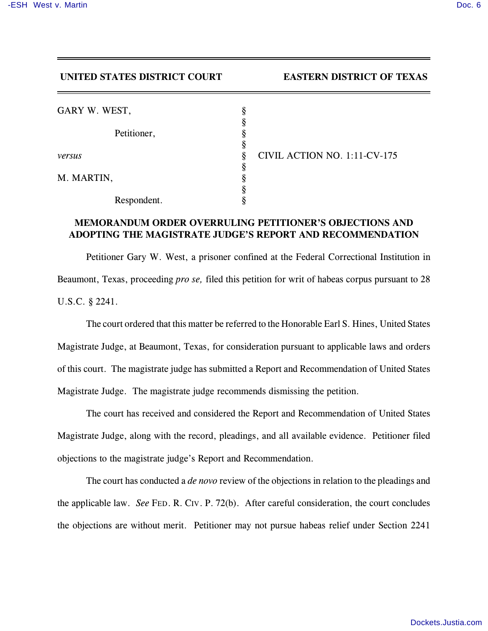## **UNITED STATES DISTRICT COURT EASTERN DISTRICT OF TEXAS**

| GARY W. WEST, |                                   |
|---------------|-----------------------------------|
|               |                                   |
| Petitioner,   |                                   |
|               |                                   |
| versus        | CIVIL ACTION NO. 1:11-CV-175<br>8 |
|               |                                   |
| M. MARTIN,    |                                   |
|               |                                   |
| Respondent.   |                                   |

## **MEMORANDUM ORDER OVERRULING PETITIONER'S OBJECTIONS AND ADOPTING THE MAGISTRATE JUDGE'S REPORT AND RECOMMENDATION**

Petitioner Gary W. West, a prisoner confined at the Federal Correctional Institution in Beaumont, Texas, proceeding *pro se,* filed this petition for writ of habeas corpus pursuant to 28 U.S.C. § 2241.

The court ordered that this matter be referred to the Honorable Earl S. Hines, United States Magistrate Judge, at Beaumont, Texas, for consideration pursuant to applicable laws and orders of this court. The magistrate judge has submitted a Report and Recommendation of United States Magistrate Judge. The magistrate judge recommends dismissing the petition.

The court has received and considered the Report and Recommendation of United States Magistrate Judge, along with the record, pleadings, and all available evidence. Petitioner filed objections to the magistrate judge's Report and Recommendation.

The court has conducted a *de novo* review of the objections in relation to the pleadings and the applicable law. *See* FED. R. CIV. P. 72(b). After careful consideration, the court concludes the objections are without merit. Petitioner may not pursue habeas relief under Section 2241